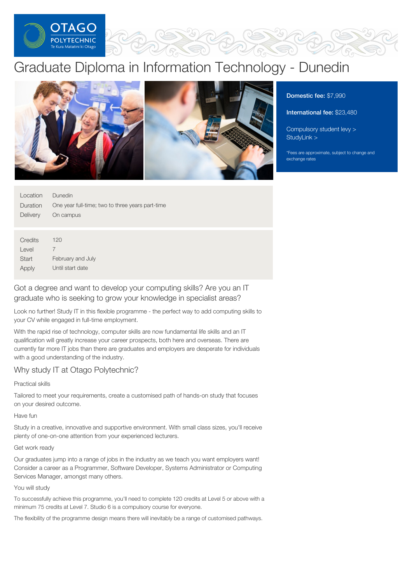

# Graduate Diploma in Information Technology - Dunedin



Domestic fee: \$7,990

International fee: \$23,480

[Compulsory](https://online.op.ac.nz/students/important-information/student-services-levy/) student levy > [StudyLink](https://www.studylink.govt.nz/) >

\*Fees are approximate, subject to change and exchange rates

| Location | <b>Dunedin</b>                                   |
|----------|--------------------------------------------------|
| Duration | One year full-time; two to three years part-time |
| Delivery | On campus                                        |
|          |                                                  |
| Credits  | 120                                              |

Level **Start** Apply 7 February and July Until start date

Got a degree and want to develop your computing skills? Are you an IT graduate who is seeking to grow your knowledge in specialist areas?

Look no further! Study IT in this flexible programme - the perfect way to add computing skills to your CV while engaged in full-time employment.

With the rapid rise of technology, computer skills are now fundamental life skills and an IT qualification will greatly increase your career prospects, both here and overseas. There are currently far more IT jobs than there are graduates and employers are desperate for individuals with a good understanding of the industry.

# Why study IT at Otago Polytechnic?

Practical skills

Tailored to meet your requirements, create a customised path of hands-on study that focuses on your desired outcome.

Have fun

Study in a creative, innovative and supportive environment. With small class sizes, you'll receive plenty of one-on-one attention from your experienced lecturers.

# Get work ready

Our graduates jump into a range of jobs in the industry as we teach you want employers want! Consider a career as a Programmer, Software Developer, Systems Administrator or Computing Services Manager, amongst many others.

You will study

To successfully achieve this programme, you'll need to complete 120 credits at Level 5 or above with a minimum 75 credits at Level 7. Studio 6 is a compulsory course for everyone.

The flexibility of the programme design means there will inevitably be a range of customised pathways.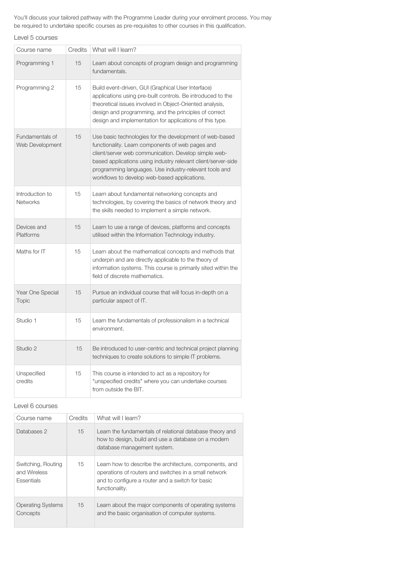You'll discuss your tailored pathway with the Programme Leader during your enrolment process. You may be required to undertake specific courses as pre-requisites to other courses in this qualification.

Level 5 courses

| Course name                        | Credits | What will I learn?                                                                                                                                                                                                                                                                                                                             |
|------------------------------------|---------|------------------------------------------------------------------------------------------------------------------------------------------------------------------------------------------------------------------------------------------------------------------------------------------------------------------------------------------------|
| Programming 1                      | 15      | Learn about concepts of program design and programming<br>fundamentals.                                                                                                                                                                                                                                                                        |
| Programming 2                      | 15      | Build event-driven, GUI (Graphical User Interface)<br>applications using pre-built controls. Be introduced to the<br>theoretical issues involved in Object-Oriented analysis,<br>design and programming, and the principles of correct<br>design and implementation for applications of this type.                                             |
| Fundamentals of<br>Web Development | 15      | Use basic technologies for the development of web-based<br>functionality. Learn components of web pages and<br>client/server web communication. Develop simple web-<br>based applications using industry relevant client/server-side<br>programming languages. Use industry-relevant tools and<br>workflows to develop web-based applications. |
| Introduction to<br><b>Networks</b> | 15      | Learn about fundamental networking concepts and<br>technologies, by covering the basics of network theory and<br>the skills needed to implement a simple network.                                                                                                                                                                              |
| Devices and<br>Platforms           | 15      | Learn to use a range of devices, platforms and concepts<br>utilised within the Information Technology industry.                                                                                                                                                                                                                                |
| Maths for IT                       | 15      | Learn about the mathematical concepts and methods that<br>underpin and are directly applicable to the theory of<br>information systems. This course is primarily sited within the<br>field of discrete mathematics.                                                                                                                            |
| Year One Special<br><b>Topic</b>   | 15      | Pursue an individual course that will focus in-depth on a<br>particular aspect of IT.                                                                                                                                                                                                                                                          |
| Studio 1                           | 15      | Learn the fundamentals of professionalism in a technical<br>environment.                                                                                                                                                                                                                                                                       |
| Studio 2                           | 15      | Be introduced to user-centric and technical project planning<br>techniques to create solutions to simple IT problems.                                                                                                                                                                                                                          |
| Unspecified<br>credits             | 15      | This course is intended to act as a repository for<br>"unspecified credits" where you can undertake courses<br>from outside the BIT.                                                                                                                                                                                                           |

Level 6 courses

| Course name                                             | Credits | What will I learn?                                                                                                                                                                     |
|---------------------------------------------------------|---------|----------------------------------------------------------------------------------------------------------------------------------------------------------------------------------------|
| Databases 2                                             | 15      | Learn the fundamentals of relational database theory and<br>how to design, build and use a database on a modern<br>database management system.                                         |
| Switching, Routing<br>and Wireless<br><b>Essentials</b> | 15      | Learn how to describe the architecture, components, and<br>operations of routers and switches in a small network<br>and to configure a router and a switch for basic<br>functionality. |
| <b>Operating Systems</b><br>Concepts                    | 15      | Learn about the major components of operating systems<br>and the basic organisation of computer systems.                                                                               |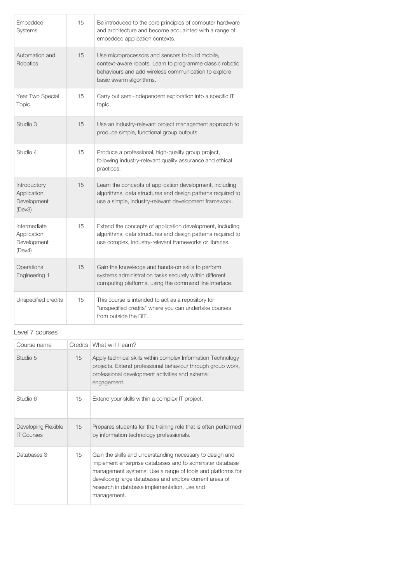| Embedded<br>Systems                                  | 15 | Be introduced to the core principles of computer hardware<br>and architecture and become acquainted with a range of<br>embedded application contexts.                                           |
|------------------------------------------------------|----|-------------------------------------------------------------------------------------------------------------------------------------------------------------------------------------------------|
| Automation and<br><b>Robotics</b>                    | 15 | Use microprocessors and sensors to build mobile,<br>context-aware robots. Learn to programme classic robotic<br>behaviours and add wireless communication to explore<br>basic swarm algorithms. |
| Year Two Special<br>Topic                            | 15 | Carry out semi-independent exploration into a specific IT<br>topic.                                                                                                                             |
| Studio 3                                             | 15 | Use an industry-relevant project management approach to<br>produce simple, functional group outputs.                                                                                            |
| Studio 4                                             | 15 | Produce a professional, high-quality group project,<br>following industry-relevant quality assurance and ethical<br>practices.                                                                  |
| Introductory<br>Application<br>Development<br>(Dev3) | 15 | Learn the concepts of application development, including<br>algorithms, data structures and design patterns required to<br>use a simple, industry-relevant development framework.               |
| Intermediate<br>Application<br>Development<br>(Dev4) | 15 | Extend the concepts of application development, including<br>algorithms, data structures and design patterns required to<br>use complex, industry-relevant frameworks or libraries.             |
| Operations<br>Engineering 1                          | 15 | Gain the knowledge and hands-on skills to perform<br>systems administration tasks securely within different<br>computing platforms, using the command line interface.                           |
| Unspecified credits                                  | 15 | This course is intended to act as a repository for<br>"unspecified credits" where you can undertake courses<br>from outside the BIT.                                                            |

# Level 7 courses

| Course name                              | <b>Credits</b> | What will I learn?                                                                                                                                                                                                                                                                                             |
|------------------------------------------|----------------|----------------------------------------------------------------------------------------------------------------------------------------------------------------------------------------------------------------------------------------------------------------------------------------------------------------|
| Studio 5                                 | 15             | Apply technical skills within complex Information Technology<br>projects. Extend professional behaviour through group work,<br>professional development activities and external<br>engagement.                                                                                                                 |
| Studio 6                                 | 15             | Extend your skills within a complex IT project.                                                                                                                                                                                                                                                                |
| Developing Flexible<br><b>IT Courses</b> | 15             | Prepares students for the training role that is often performed<br>by information technology professionals.                                                                                                                                                                                                    |
| Databases 3                              | 15             | Gain the skills and understanding necessary to design and<br>implement enterprise databases and to administer database<br>management systems. Use a range of tools and platforms for<br>developing large databases and explore current areas of<br>research in database implementation, use and<br>management. |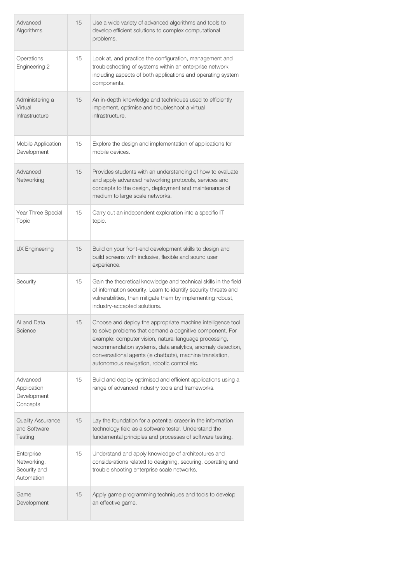| Advanced<br>Algorithms                                  | 15 | Use a wide variety of advanced algorithms and tools to<br>develop efficient solutions to complex computational<br>problems.                                                                                                                                                                                                                                 |
|---------------------------------------------------------|----|-------------------------------------------------------------------------------------------------------------------------------------------------------------------------------------------------------------------------------------------------------------------------------------------------------------------------------------------------------------|
| Operations<br>Engineering 2                             | 15 | Look at, and practice the configuration, management and<br>troubleshooting of systems within an enterprise network<br>including aspects of both applications and operating system<br>components.                                                                                                                                                            |
| Administering a<br>Virtual<br>Infrastructure            | 15 | An in-depth knowledge and techniques used to efficiently<br>implement, optimise and troubleshoot a virtual<br>infrastructure.                                                                                                                                                                                                                               |
| Mobile Application<br>Development                       | 15 | Explore the design and implementation of applications for<br>mobile devices.                                                                                                                                                                                                                                                                                |
| Advanced<br>Networking                                  | 15 | Provides students with an understanding of how to evaluate<br>and apply advanced networking protocols, services and<br>concepts to the design, deployment and maintenance of<br>medium to large scale networks.                                                                                                                                             |
| Year Three Special<br>Topic                             | 15 | Carry out an independent exploration into a specific IT<br>topic.                                                                                                                                                                                                                                                                                           |
| UX Engineering                                          | 15 | Build on your front-end development skills to design and<br>build screens with inclusive, flexible and sound user<br>experience.                                                                                                                                                                                                                            |
| Security                                                | 15 | Gain the theoretical knowledge and technical skills in the field<br>of information security. Learn to identify security threats and<br>vulnerabilities, then mitigate them by implementing robust,<br>industry-accepted solutions.                                                                                                                          |
| Al and Data<br>Science                                  | 15 | Choose and deploy the appropriate machine intelligence tool<br>to solve problems that demand a cognitive component. For<br>example: computer vision, natural language processing,<br>recommendation systems, data analytics, anomaly detection,<br>conversational agents (ie chatbots), machine translation,<br>autonomous navigation, robotic control etc. |
| Advanced<br>Application<br>Development<br>Concepts      | 15 | Build and deploy optimised and efficient applications using a<br>range of advanced industry tools and frameworks.                                                                                                                                                                                                                                           |
| <b>Quality Assurance</b><br>and Software<br>Testing     | 15 | Lay the foundation for a potential craeer in the information<br>technology field as a software tester. Understand the<br>fundamental principles and processes of software testing.                                                                                                                                                                          |
| Enterprise<br>Networking,<br>Security and<br>Automation | 15 | Understand and apply knowledge of architectures and<br>considerations related to designing, securing, operating and<br>trouble shooting enterprise scale networks.                                                                                                                                                                                          |
| Game<br>Development                                     | 15 | Apply game programming techniques and tools to develop<br>an effective game.                                                                                                                                                                                                                                                                                |